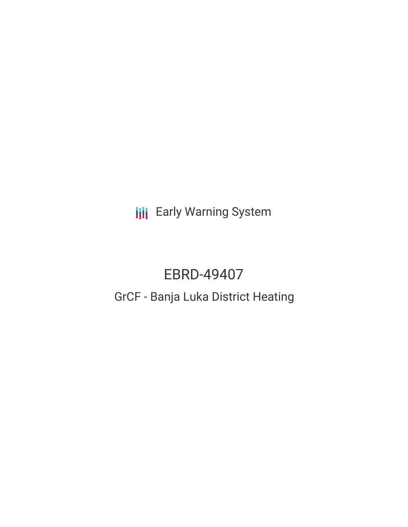**III** Early Warning System

# EBRD-49407 GrCF - Banja Luka District Heating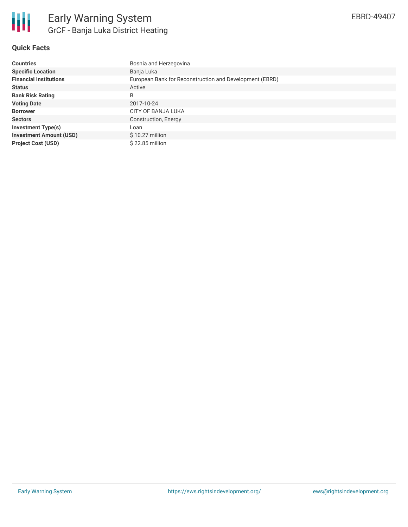

## **Quick Facts**

| <b>Countries</b>               | Bosnia and Herzegovina                                  |
|--------------------------------|---------------------------------------------------------|
| <b>Specific Location</b>       | Banja Luka                                              |
| <b>Financial Institutions</b>  | European Bank for Reconstruction and Development (EBRD) |
| <b>Status</b>                  | Active                                                  |
| <b>Bank Risk Rating</b>        | B                                                       |
| <b>Voting Date</b>             | 2017-10-24                                              |
| <b>Borrower</b>                | CITY OF BANJA LUKA                                      |
| <b>Sectors</b>                 | Construction, Energy                                    |
| <b>Investment Type(s)</b>      | Loan                                                    |
| <b>Investment Amount (USD)</b> | $$10.27$ million                                        |
| <b>Project Cost (USD)</b>      | \$22.85 million                                         |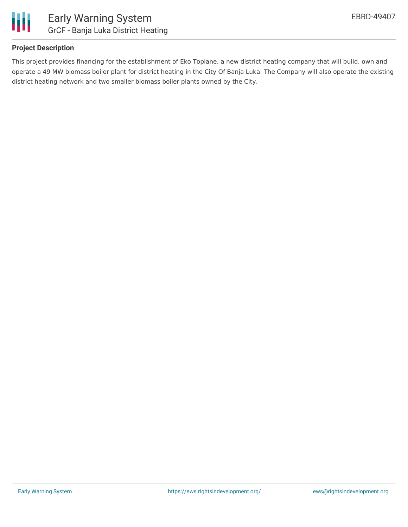

### **Project Description**

This project provides financing for the establishment of Eko Toplane, a new district heating company that will build, own and operate a 49 MW biomass boiler plant for district heating in the City Of Banja Luka. The Company will also operate the existing district heating network and two smaller biomass boiler plants owned by the City.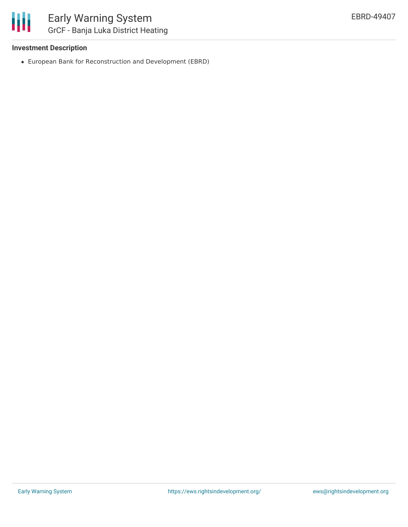

### **Investment Description**

European Bank for Reconstruction and Development (EBRD)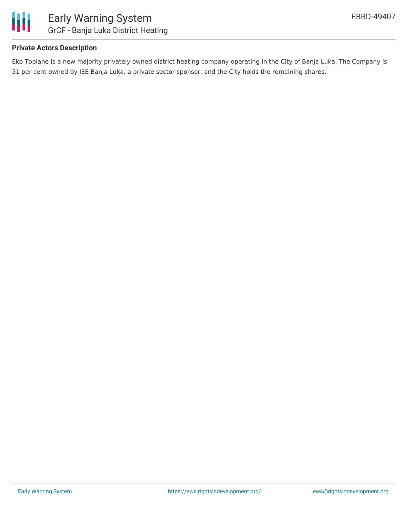

### **Private Actors Description**

Eko Toplane is a new majority privately owned district heating company operating in the City of Banja Luka. The Company is 51 per cent owned by IEE Banja Luka, a private sector sponsor, and the City holds the remaining shares.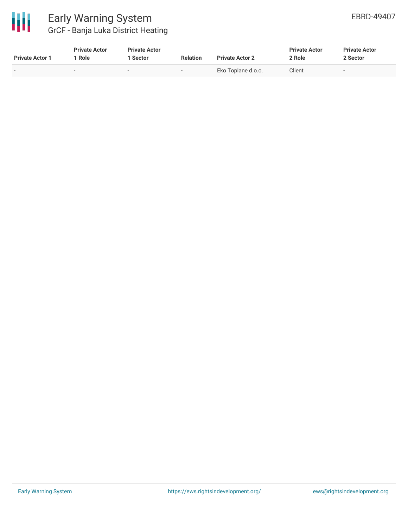

# Early Warning System GrCF - Banja Luka District Heating

| <b>Private Actor 1</b> | <b>Private Actor</b><br>Role | <b>Private Actor</b><br>  Sector | <b>Relation</b> | <b>Private Actor 2</b> | <b>Private Actor</b><br>2 Role | <b>Private Actor</b><br>2 Sector |
|------------------------|------------------------------|----------------------------------|-----------------|------------------------|--------------------------------|----------------------------------|
| . .                    | -                            | $\overline{\phantom{a}}$         | -               | Eko Toplane d.o.o.     | Client                         | $\sim$                           |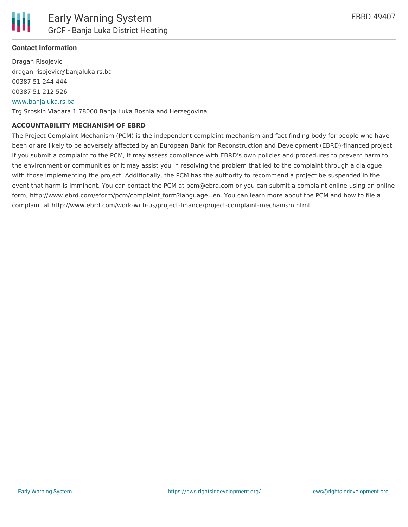

### **Contact Information**

Dragan Risojevic dragan.risojevic@banjaluka.rs.ba 00387 51 244 444 00387 51 212 526 [www.banjaluka.rs.ba](http://www.banjaluka.rs.ba/)

Trg Srpskih Vladara 1 78000 Banja Luka Bosnia and Herzegovina

#### **ACCOUNTABILITY MECHANISM OF EBRD**

The Project Complaint Mechanism (PCM) is the independent complaint mechanism and fact-finding body for people who have been or are likely to be adversely affected by an European Bank for Reconstruction and Development (EBRD)-financed project. If you submit a complaint to the PCM, it may assess compliance with EBRD's own policies and procedures to prevent harm to the environment or communities or it may assist you in resolving the problem that led to the complaint through a dialogue with those implementing the project. Additionally, the PCM has the authority to recommend a project be suspended in the event that harm is imminent. You can contact the PCM at pcm@ebrd.com or you can submit a complaint online using an online form, http://www.ebrd.com/eform/pcm/complaint\_form?language=en. You can learn more about the PCM and how to file a complaint at http://www.ebrd.com/work-with-us/project-finance/project-complaint-mechanism.html.